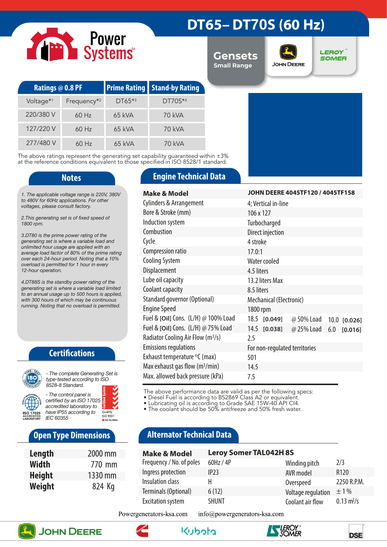# Power<br>Systems

# **DT65– DT70S (60 Hz)**

**Gensets Small Range**



**LEROY SOMER** 

| Ratings @ 0.8 PF      |                         |           | <b>Prime Rating Stand-by Rating</b> |  |
|-----------------------|-------------------------|-----------|-------------------------------------|--|
| Voltage <sup>*1</sup> | Frequency <sup>*2</sup> | $DT65**3$ | DT70S*4                             |  |
| 220/380 V             | $60$ Hz                 | 65 kVA    | 70 kVA                              |  |
| 127/220 V             | $60$ Hz                 | 65 kVA    | 70 kVA                              |  |
| 277/480 V             | $60$ Hz                 | 65 kVA    | 70 kVA                              |  |

The above ratings represent the generating set capability guaranteed within ±3% at the reference conditions equivalent to those specified in ISO 8528/1 standard.

*1. The applicable voltage range is 220V, 380V to 480V for 60Hz applications. For other voltages, please consult factory.* 

*2.This generating set is of fixed speed of 1800 rpm.*

*3.DT80 is the prime power rating of the generating set is where a variable load and unlimited hour usage are applied with an average load factor of 80% of the prime rating over each 24-hour period. Noting that a 10% overload is permitted for 1 hour in every 12-hour operation.*

*4.DT88S is the standby power rating of the generating set is where a variable load limited to an annual usage up to 500 hours is applied, with 300 hours of which may be continuous running. Noting that no overload is permitted.*

### **Certifications**



*type-tested according to ISO 8528-8 Standard. - The control panel is* 

*certified by an ISO 17025 accredited laboratory to have IP55 according to*  Quality<br>ISO 9001 *IEC 60355*

### **Open Type Dimensions**

| Length        | 2000 mm |
|---------------|---------|
| <b>Width</b>  | 770 mm  |
| <b>Height</b> | 1330 mm |
| Weight        | 824 Kg  |

### **Notes Engine Technical Data**

| <b>Make &amp; Model</b>                       | JOHN DEERE 4045TF120 / 4045TF158             |  |  |  |
|-----------------------------------------------|----------------------------------------------|--|--|--|
| <b>Cylinders &amp; Arrangement</b>            | 4; Vertical in-line                          |  |  |  |
| Bore & Stroke (mm)                            | 106 x 127                                    |  |  |  |
| Induction system                              | Turbocharged                                 |  |  |  |
| Combustion                                    | Direct injection                             |  |  |  |
| Cycle                                         | 4 stroke                                     |  |  |  |
| Compression ratio                             | 17.0:1                                       |  |  |  |
| <b>Cooling System</b>                         | Water cooled                                 |  |  |  |
| Displacement                                  | 4.5 liters                                   |  |  |  |
| Lube oil capacity                             | 13.2 liters Max                              |  |  |  |
| Coolant capacity                              | 8.5 liters                                   |  |  |  |
| Standard governor (Optional)                  | Mechanical (Electronic)                      |  |  |  |
| <b>Engine Speed</b>                           | 1800 rpm                                     |  |  |  |
| Fuel & [Oil] Cons. (L/H) @ 100% Load          | 18.5 [0.049]<br>@ 50% Load<br>$10.0$ [0.026] |  |  |  |
| Fuel & [Oil] Cons. (L/H) @ 75% Load           | 14.5 [0.038]<br>@ 25% Load<br>$6.0$ [0.016]  |  |  |  |
| Radiator Cooling Air Flow (m <sup>3</sup> /s) | 2.5                                          |  |  |  |
| <b>Emissions regulations</b>                  | For non-regulated territories                |  |  |  |
| Exhaust temperature °C (max)                  | 501                                          |  |  |  |
| Max exhaust gas flow $(m^3/min)$              | 14.5                                         |  |  |  |
| Max. allowed back pressure (kPa)              | 7.5                                          |  |  |  |

The above performance data are valid as per the following specs:

• Diesel Fuel is according to BS2869 Class A2 or equivalent.

• Lubricating oil is according to Grade SAE 15W-40 API CI4.

• The coolant should be 50% antifreeze and 50% fresh water.

## **Alternator Technical Data**

| <b>Make &amp; Model</b>  | <b>Leroy Somer TAL042H8S</b> |                    |                             |
|--------------------------|------------------------------|--------------------|-----------------------------|
| Frequency / No. of poles | 60Hz / 4P                    | Winding pitch      | 2/3                         |
| Ingress protection       | IP23                         | AVR model          | R <sub>120</sub>            |
| Insulation class         | н                            | Overspeed          | 2250 R.P.M.                 |
| Terminals (Optional)     | 6(12)                        | Voltage regulation | $\pm 1\%$                   |
| <b>Excitation system</b> | <b>SHUNT</b>                 | Coolant air flow   | $0.13 \text{ m}^3/\text{s}$ |

Powergenerators-ksa.com info@powergenerators-ksa.com







واوواريكا

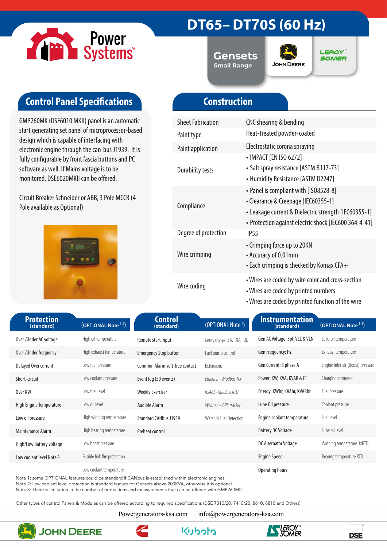

# **DT65– DT70S (60 Hz)**

**Gensets Small Range**



**LEROY SOMER** 

# **Control Panel Specifications**

GMP260MK (DSE6010 MKII) panel is an automatic start generating set panel of microprocessor-based design which is capable of interfacing with electronic engine through the can-bus J1939. It is fully configurable by front fascia buttons and PC software as well. If Mains voltage is to be monitored, DSE6020MKII can be offered.

Circuit Breaker Schneider or ABB, 3 Pole MCCB (4 Pole available as Optional)



# **Construction**

| <b>Sheet Fabrication</b> | CNC shearing & bending                                                                                                                                                                        |
|--------------------------|-----------------------------------------------------------------------------------------------------------------------------------------------------------------------------------------------|
| Paint type               | Heat-treated powder-coated                                                                                                                                                                    |
| Paint application        | Electrostatic corona spraying                                                                                                                                                                 |
| <b>Durability tests</b>  | • IMPACT [EN ISO 6272]<br>• Salt spray resistance [ASTM B117-73]<br>• Humidity Resistance [ASTM D2247]                                                                                        |
| Compliance               | • Panel is compliant with [ISO8528-8]<br>• Clearance & Creepage [IEC60355-1]<br>• Leakage current & Dielectric strength [IEC60355-1]<br>• Protection against electric shock [IEC600 364-4-41] |
| Degree of protection     | IP <sub>55</sub>                                                                                                                                                                              |
| Wire crimping            | • Crimping force up to 20KN<br>• Accuracy of 0.01mm<br>$\cdot$ Each crimping is checked by Komax CFA $+$                                                                                      |
| Wire coding              | • Wires are coded by wire color and cross-section<br>• Wires are coded by printed numbers<br>• Wires are coded by printed function of the wire                                                |

| <b>Protection</b><br>(standard) | (OPTIONAL Note <sup>1,3</sup> ) | <b>Control</b><br>(standard)   | (OPTIONAL Note <sup>1</sup> ) | <b>Instrumentation</b><br>(standard) | (OPTIONAL Note <sup>1,3</sup> )   |
|---------------------------------|---------------------------------|--------------------------------|-------------------------------|--------------------------------------|-----------------------------------|
| Over/Under AC voltage           | High oil temperature            | Remote start input             | Battery Changer: 5A, 10A, UL  | Gen AC Voltage: 3ph VLL & VLN        | Lube oil temperature              |
| Over / Under frequency          | High exhaust temperature        | <b>Emergency Stop button</b>   | Fuel pump control             | Gen Frequency: Hz                    | Exhaust temperature               |
| Delayed Over current            | Low fuel pressure               | Common Alarm volt-free contact | Extension:                    | Gen Current: 3 phase A               | Engine Inlet air (Boost) pressure |
| Short-circuit                   | Low coolant pressure            | Event log (50 events)          | Ethernet - Modbus TCP         | Power: KW, KVA, KVAR & PF            | Charging ammeter                  |
| Over KW                         | Low fuel level                  | <b>Weekly Exerciser</b>        | RS485- Modbus RTU             | Energy: KWhr, KVAhr, KVARhr          | Fuel pressure                     |
| High Engine Temperature         | Low oil level                   | Audible Alarm                  | Webnet – GPS tracker          | Lube Oil pressure                    | Coolant pressure                  |
| Low oil pressure                | High winding temperature        | <b>Standard CANbus J1939</b>   | Water in Fuel Detection.      | Engine coolant temperature           | Fuel level                        |
| Maintenance Alarm               | High bearing temperature        | Preheat control                |                               | <b>Battery DC Voltage</b>            | Lube oil level                    |
| High/Low Battery voltage        | Low boost pressure              |                                |                               | DC Alternator Voltage                | Winding temperature 3xRTD         |
| Low coolant level Note 2        | Fusible link fire protection    |                                |                               | <b>Engine Speed</b>                  | Bearing temperature RTD           |
|                                 | Low coolant temperature         |                                |                               | Operating hours                      |                                   |

Note 1: some OPTIONAL features could be standard if CANbus is established within electronic engines.

Note 2: Low coolant level protection is standard feature for Gensets above 200KVA, otherwise it is optional.

Note 3: There is limitation in the number of protections and measurements that can be offered with GMP260MK.

Other types of control Panels & Modules can be offered according to required specifications (DSE 7310/20, 7410/20, 8610, 8810 and Others).

Powergenerators-ksa.com

info@powergenerators-ksa.com



**JOHN DEERE** 





**DSE**